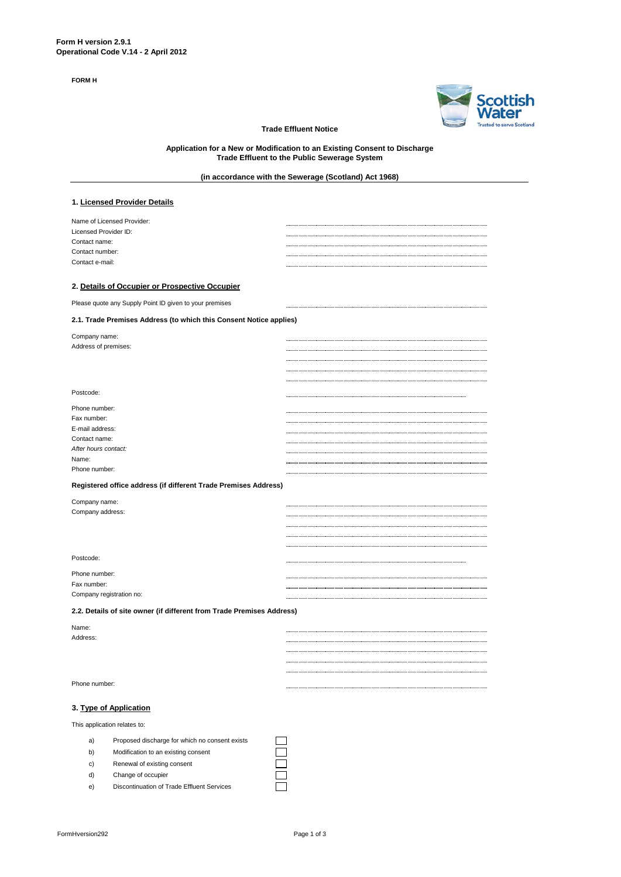**FORM H**



### **Trade Effluent Notice**

**Application for a New or Modification to an Existing Consent to Discharge Trade Effluent to the Public Sewerage System**

# **(in accordance with the Sewerage (Scotland) Act 1968)**

### **1. Licensed Provider Details**

| Name of Licensed Provider: |  |
|----------------------------|--|
| Licensed Provider ID:      |  |
| Contact name:              |  |
| Contact number:            |  |
| Contact e-mail:            |  |
|                            |  |

#### **2. Details of Occupier or Prospective Occupier**

Please quote any Supply Point ID given to your premises

### **2.1. Trade Premises Address (to which this Consent Notice applies)**

| Company name:<br>Address of premises: |  |
|---------------------------------------|--|
|                                       |  |
|                                       |  |
|                                       |  |
|                                       |  |
| Postcode:                             |  |
| Phone number:                         |  |
| Fax number:                           |  |
| E-mail address:                       |  |
| Contact name:                         |  |
| After hours contact:                  |  |
| Name:                                 |  |
| Phone number:                         |  |

### **Registered office address (if different Trade Premises Address)**

| Company name:                           |  |
|-----------------------------------------|--|
| Company address:                        |  |
|                                         |  |
|                                         |  |
|                                         |  |
| Postcode:                               |  |
| Phone number:                           |  |
| Fax number:<br>Company registration no: |  |
|                                         |  |

### **2.2. Details of site owner (if different from Trade Premises Address)**

| Name:         |  |
|---------------|--|
| Address:      |  |
|               |  |
|               |  |
|               |  |
| Phone number: |  |

# **3. Type of Application**

This application relates to:

- a) Proposed discharge for which no consent exists
- b) Modification to an existing consent
- c) Renewal of existing consent
- d) Change of occupier
- e) Discontinuation of Trade Effluent Services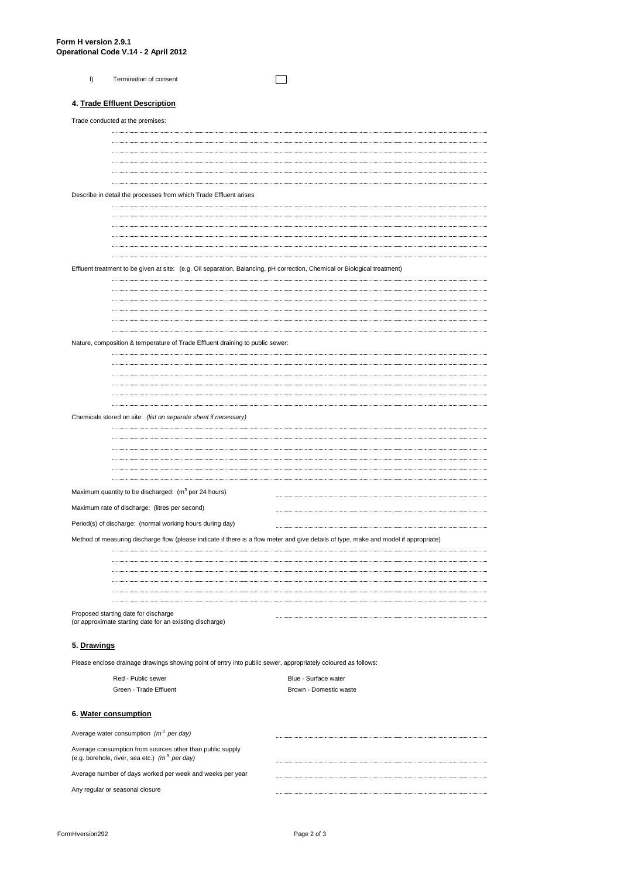| Termination of consent |  |
|------------------------|--|
|                        |  |

# **4. Trade Effluent Description**

| Trade conducted at the premises:                                                                                                      |                        |  |
|---------------------------------------------------------------------------------------------------------------------------------------|------------------------|--|
|                                                                                                                                       |                        |  |
|                                                                                                                                       |                        |  |
|                                                                                                                                       |                        |  |
|                                                                                                                                       |                        |  |
|                                                                                                                                       |                        |  |
| Describe in detail the processes from which Trade Effluent arises                                                                     |                        |  |
|                                                                                                                                       |                        |  |
|                                                                                                                                       |                        |  |
|                                                                                                                                       |                        |  |
|                                                                                                                                       |                        |  |
| Effluent treatment to be given at site: (e.g. Oil separation, Balancing, pH correction, Chemical or Biological treatment)             |                        |  |
|                                                                                                                                       |                        |  |
|                                                                                                                                       |                        |  |
|                                                                                                                                       |                        |  |
|                                                                                                                                       |                        |  |
| Nature, composition & temperature of Trade Effluent draining to public sewer:                                                         |                        |  |
|                                                                                                                                       |                        |  |
|                                                                                                                                       |                        |  |
|                                                                                                                                       |                        |  |
|                                                                                                                                       |                        |  |
| Chemicals stored on site: (list on separate sheet if necessary)                                                                       |                        |  |
|                                                                                                                                       |                        |  |
|                                                                                                                                       |                        |  |
|                                                                                                                                       |                        |  |
|                                                                                                                                       |                        |  |
| Maximum quantity to be discharged: (m <sup>3</sup> per 24 hours)                                                                      |                        |  |
| Maximum rate of discharge: (litres per second)                                                                                        |                        |  |
| Period(s) of discharge: (normal working hours during day)                                                                             |                        |  |
|                                                                                                                                       |                        |  |
| Method of measuring discharge flow (please indicate if there is a flow meter and give details of type, make and model if appropriate) |                        |  |
|                                                                                                                                       |                        |  |
|                                                                                                                                       |                        |  |
|                                                                                                                                       |                        |  |
|                                                                                                                                       |                        |  |
| Proposed starting date for discharge<br>(or approximate starting date for an existing discharge)                                      |                        |  |
| 5. Drawings                                                                                                                           |                        |  |
| Please enclose drainage drawings showing point of entry into public sewer, appropriately coloured as follows:                         |                        |  |
| Red - Public sewer                                                                                                                    | Blue - Surface water   |  |
| Green - Trade Effluent                                                                                                                | Brown - Domestic waste |  |
|                                                                                                                                       |                        |  |
| 6. Water consumption                                                                                                                  |                        |  |

| Average water consumption $(m^3$ per day)                                                                             |  |
|-----------------------------------------------------------------------------------------------------------------------|--|
| Average consumption from sources other than public supply<br>(e.g. borehole, river, sea etc.) $(m^3 \text{ per day})$ |  |
| Average number of days worked per week and weeks per year                                                             |  |
| Any regular or seasonal closure                                                                                       |  |